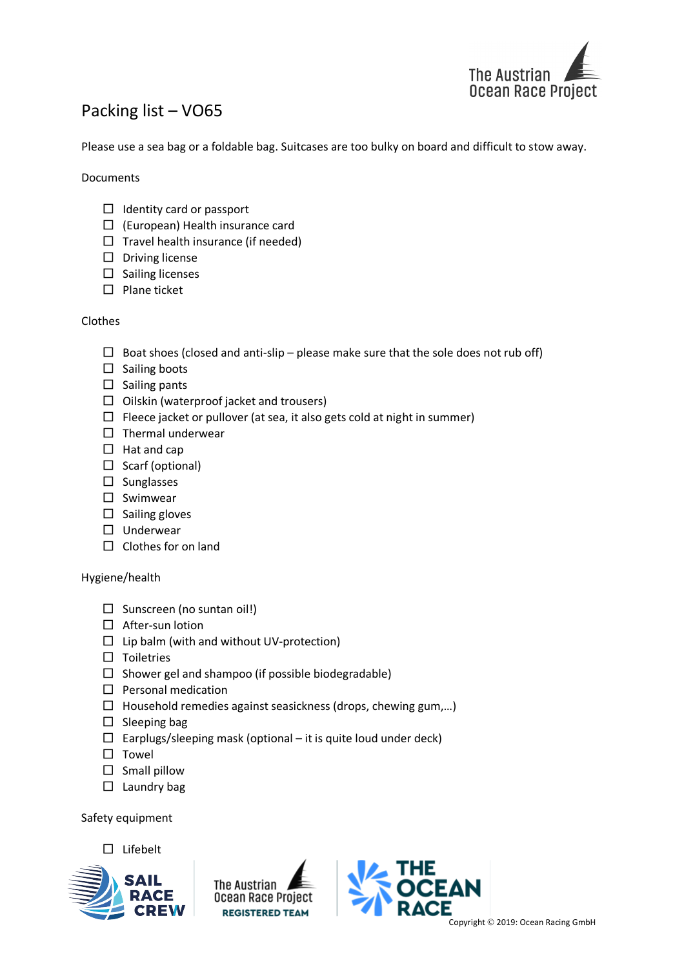

## Packing list – VO65

Please use a sea bag or a foldable bag. Suitcases are too bulky on board and difficult to stow away.

Documents

- $\Box$  Identity card or passport
- $\Box$  (European) Health insurance card
- $\Box$  Travel health insurance (if needed)
- $\square$  Driving license
- $\square$  Sailing licenses
- $\square$  Plane ticket

## Clothes

- $\Box$  Boat shoes (closed and anti-slip please make sure that the sole does not rub off)
- $\square$  Sailing boots
- $\square$  Sailing pants
- $\Box$  Oilskin (waterproof jacket and trousers)
- $\Box$  Fleece jacket or pullover (at sea, it also gets cold at night in summer)
- $\Box$  Thermal underwear
- $\Box$  Hat and cap
- $\Box$  Scarf (optional)
- $\square$  Sunglasses
- $\square$  Swimwear
- $\square$  Sailing gloves
- □ Underwear
- $\Box$  Clothes for on land

## Hygiene/health

- $\square$  Sunscreen (no suntan oil!)
- $\Box$  After-sun lotion
- $\Box$  Lip balm (with and without UV-protection)
- $\square$  Toiletries
- $\square$  Shower gel and shampoo (if possible biodegradable)
- $\square$  Personal medication
- $\Box$  Household remedies against seasickness (drops, chewing gum,...)
- $\square$  Sleeping bag
- $\Box$  Earplugs/sleeping mask (optional it is quite loud under deck)
- $\square$  Towel
- $\square$  Small pillow
- $\square$  Laundry bag

Safety equipment

 $\square$  Lifebelt



The Austrian Ocean Race Project **REGISTERED TEAM**